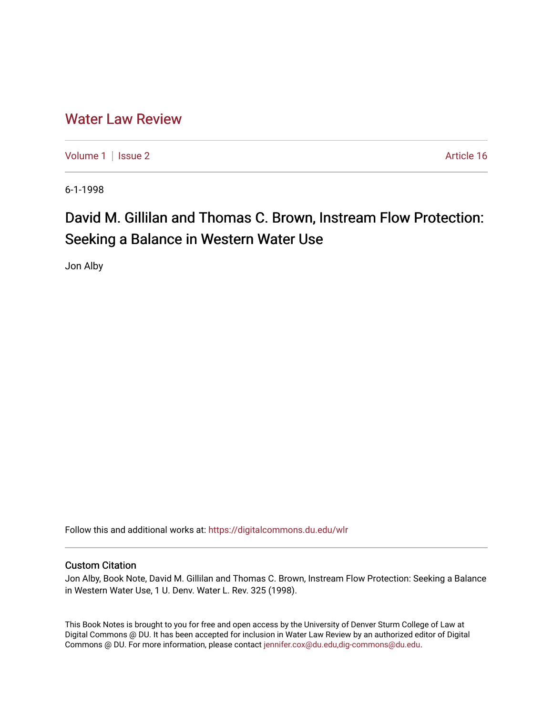## [Water Law Review](https://digitalcommons.du.edu/wlr)

[Volume 1](https://digitalcommons.du.edu/wlr/vol1) | [Issue 2](https://digitalcommons.du.edu/wlr/vol1/iss2) Article 16

6-1-1998

# David M. Gillilan and Thomas C. Brown, Instream Flow Protection: Seeking a Balance in Western Water Use

Jon Alby

Follow this and additional works at: [https://digitalcommons.du.edu/wlr](https://digitalcommons.du.edu/wlr?utm_source=digitalcommons.du.edu%2Fwlr%2Fvol1%2Fiss2%2F16&utm_medium=PDF&utm_campaign=PDFCoverPages) 

### Custom Citation

Jon Alby, Book Note, David M. Gillilan and Thomas C. Brown, Instream Flow Protection: Seeking a Balance in Western Water Use, 1 U. Denv. Water L. Rev. 325 (1998).

This Book Notes is brought to you for free and open access by the University of Denver Sturm College of Law at Digital Commons @ DU. It has been accepted for inclusion in Water Law Review by an authorized editor of Digital Commons @ DU. For more information, please contact [jennifer.cox@du.edu,dig-commons@du.edu.](mailto:jennifer.cox@du.edu,dig-commons@du.edu)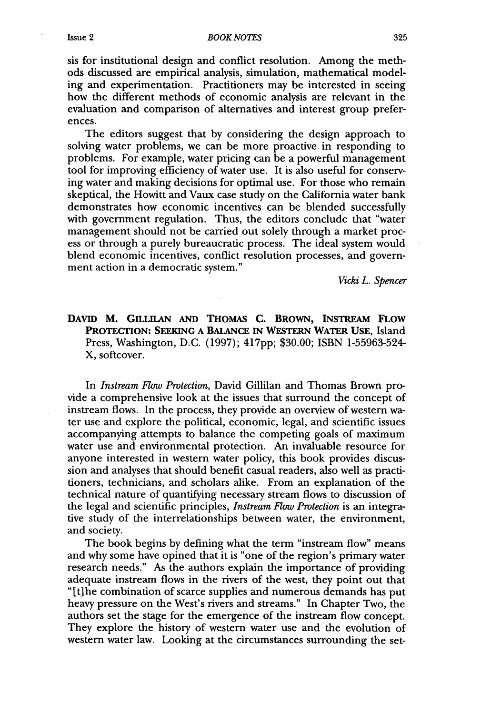#### *BOOK NOTES*

sis for institutional design and conflict resolution. Among the methods discussed are empirical analysis, simulation, mathematical modeling and experimentation. Practitioners may be interested in seeing how the different methods of economic analysis are relevant in the evaluation and comparison of alternatives and interest group preferences.

The editors suggest that **by** considering the design approach to solving water problems, we can be more proactive in responding to problems. For example, water pricing can be a powerful management tool for improving efficiency of water use. It is also useful for conserving water and making decisions for optimal use. For those who remain skeptical, the Howitt and Vaux case study on the California water bank demonstrates how economic incentives can be blended successfully with government regulation. Thus, the editors conclude that "water management should not be carried out solely through a market process or through a purely bureaucratic process. The ideal system would blend economic incentives, conflict resolution processes, and government action in a democratic system."

*Vicki L. Spencer*

### DAVID M. GILLILAN AND THOMAS C. BROWN, INSTREAM FLOW **PROTECTION: SEEKING A BALANCE IN WESTERN WATER USE,** Island Press, Washington, D.C. (1997); **<sup>4</sup> 17pp;** \$30.00; **ISBN 1-55963-524-** X, softcover.

In *Instream Flow Protection,* David Gillilan and Thomas Brown provide a comprehensive look at the issues that surround the concept of instream flows. In the process, they provide an overview of western water use and explore the political, economic, legal, and scientific issues accompanying attempts to balance the competing goals of maximum water use and environmental protection. An invaluable resource for anyone interested in western water policy, this book provides discussion and analyses that should benefit casual readers, also well as practitioners, technicians, and scholars alike. From an explanation of the technical nature of quantifying necessary stream flows to discussion of the legal and scientific principles, *Instream Flow Protection* is an integrative study of the interrelationships between water, the environment, and society.

The book begins by defining what the term "instream flow" means and why some have opined that it is "one of the region's primary water research needs." As the authors explain the importance of providing adequate instream flows in the rivers of the west, they point out that "[t]he combination of scarce supplies and numerous demands has put heavy pressure on the West's rivers and streams." In Chapter Two, the authors set the stage for the emergence of the instream flow concept. They explore the history of western water use and the evolution of western water law. Looking at the circumstances surrounding the set-